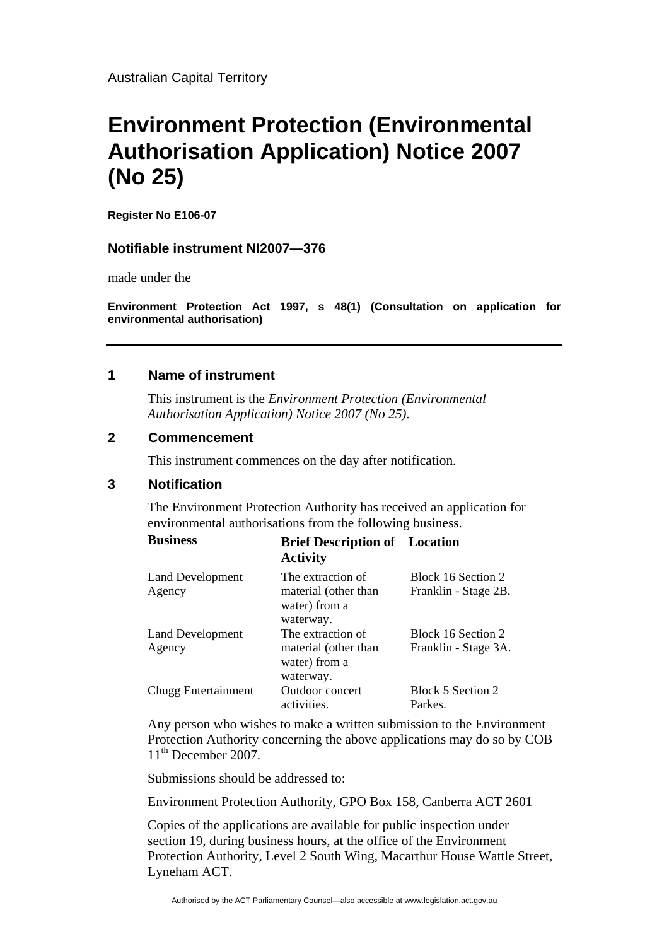Australian Capital Territory

# **Environment Protection (Environmental Authorisation Application) Notice 2007 (No 25)**

**Register No E106-07** 

## **Notifiable instrument NI2007—376**

made under the

**Environment Protection Act 1997, s 48(1) (Consultation on application for environmental authorisation)**

### **1 Name of instrument**

This instrument is the *Environment Protection (Environmental Authorisation Application) Notice 2007 (No 25)*.

#### **2 Commencement**

This instrument commences on the day after notification.

## **3 Notification**

The Environment Protection Authority has received an application for environmental authorisations from the following business.

| <b>Business</b>                   | <b>Brief Description of</b> Location<br><b>Activity</b>                 |                                            |
|-----------------------------------|-------------------------------------------------------------------------|--------------------------------------------|
| <b>Land Development</b><br>Agency | The extraction of<br>material (other than<br>water) from a<br>waterway. | Block 16 Section 2<br>Franklin - Stage 2B. |
| <b>Land Development</b><br>Agency | The extraction of<br>material (other than<br>water) from a<br>waterway. | Block 16 Section 2<br>Franklin - Stage 3A. |
| Chugg Entertainment               | Outdoor concert<br>activities.                                          | Block 5 Section 2<br>Parkes.               |

Any person who wishes to make a written submission to the Environment Protection Authority concerning the above applications may do so by COB 11<sup>th</sup> December 2007.

Submissions should be addressed to:

Environment Protection Authority, GPO Box 158, Canberra ACT 2601

Copies of the applications are available for public inspection under section 19, during business hours, at the office of the Environment Protection Authority, Level 2 South Wing, Macarthur House Wattle Street, Lyneham ACT.